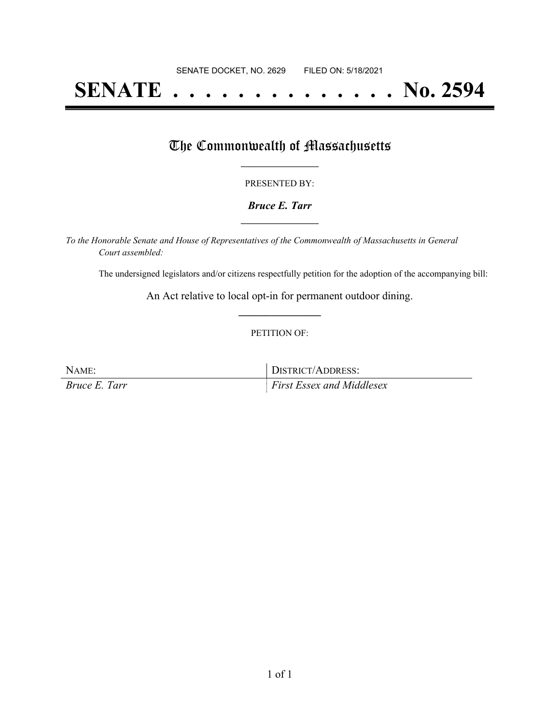# **SENATE . . . . . . . . . . . . . . No. 2594**

### The Commonwealth of Massachusetts

#### PRESENTED BY:

#### *Bruce E. Tarr* **\_\_\_\_\_\_\_\_\_\_\_\_\_\_\_\_\_**

*To the Honorable Senate and House of Representatives of the Commonwealth of Massachusetts in General Court assembled:*

The undersigned legislators and/or citizens respectfully petition for the adoption of the accompanying bill:

An Act relative to local opt-in for permanent outdoor dining. **\_\_\_\_\_\_\_\_\_\_\_\_\_\_\_**

#### PETITION OF:

NAME: DISTRICT/ADDRESS: *Bruce E. Tarr First Essex and Middlesex*